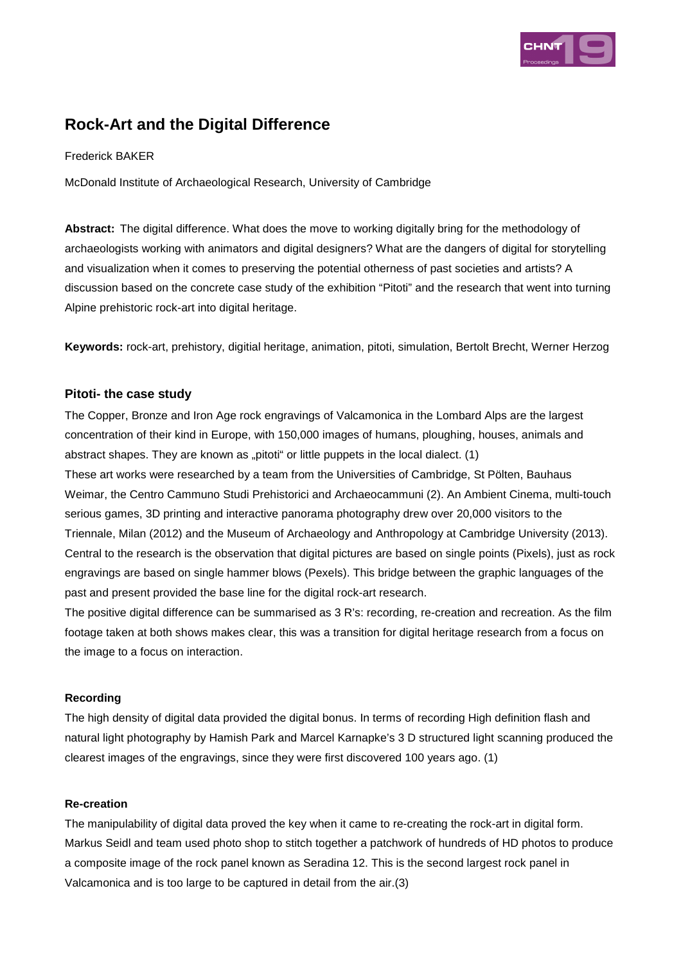

# **Rock-Art and the Digital Difference**

# Frederick BAKER

McDonald Institute of Archaeological Research, University of Cambridge

**Abstract:** The digital difference. What does the move to working digitally bring for the methodology of archaeologists working with animators and digital designers? What are the dangers of digital for storytelling and visualization when it comes to preserving the potential otherness of past societies and artists? A discussion based on the concrete case study of the exhibition "Pitoti" and the research that went into turning Alpine prehistoric rock-art into digital heritage.

**Keywords:** rock-art, prehistory, digitial heritage, animation, pitoti, simulation, Bertolt Brecht, Werner Herzog

# **Pitoti- the case study**

The Copper, Bronze and Iron Age rock engravings of Valcamonica in the Lombard Alps are the largest concentration of their kind in Europe, with 150,000 images of humans, ploughing, houses, animals and abstract shapes. They are known as "pitoti" or little puppets in the local dialect. (1) These art works were researched by a team from the Universities of Cambridge, St Pölten, Bauhaus Weimar, the Centro Cammuno Studi Prehistorici and Archaeocammuni (2). An Ambient Cinema, multi-touch serious games, 3D printing and interactive panorama photography drew over 20,000 visitors to the Triennale, Milan (2012) and the Museum of Archaeology and Anthropology at Cambridge University (2013). Central to the research is the observation that digital pictures are based on single points (Pixels), just as rock engravings are based on single hammer blows (Pexels). This bridge between the graphic languages of the past and present provided the base line for the digital rock-art research.

The positive digital difference can be summarised as 3 R's: recording, re-creation and recreation. As the film footage taken at both shows makes clear, this was a transition for digital heritage research from a focus on the image to a focus on interaction.

# **Recording**

The high density of digital data provided the digital bonus. In terms of recording High definition flash and natural light photography by Hamish Park and Marcel Karnapke's 3 D structured light scanning produced the clearest images of the engravings, since they were first discovered 100 years ago. (1)

# **Re-creation**

The manipulability of digital data proved the key when it came to re-creating the rock-art in digital form. Markus Seidl and team used photo shop to stitch together a patchwork of hundreds of HD photos to produce a composite image of the rock panel known as Seradina 12. This is the second largest rock panel in Valcamonica and is too large to be captured in detail from the air.(3)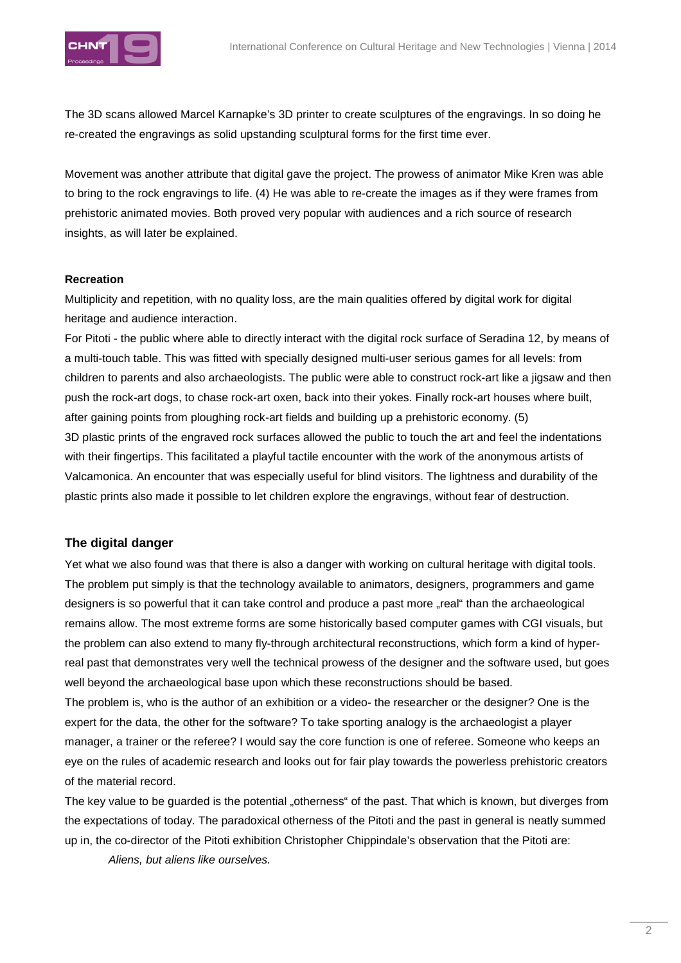

The 3D scans allowed Marcel Karnapke's 3D printer to create sculptures of the engravings. In so doing he re-created the engravings as solid upstanding sculptural forms for the first time ever.

Movement was another attribute that digital gave the project. The prowess of animator Mike Kren was able to bring to the rock engravings to life. (4) He was able to re-create the images as if they were frames from prehistoric animated movies. Both proved very popular with audiences and a rich source of research insights, as will later be explained.

# **Recreation**

Multiplicity and repetition, with no quality loss, are the main qualities offered by digital work for digital heritage and audience interaction.

For Pitoti - the public where able to directly interact with the digital rock surface of Seradina 12, by means of a multi-touch table. This was fitted with specially designed multi-user serious games for all levels: from children to parents and also archaeologists. The public were able to construct rock-art like a jigsaw and then push the rock-art dogs, to chase rock-art oxen, back into their yokes. Finally rock-art houses where built, after gaining points from ploughing rock-art fields and building up a prehistoric economy. (5) 3D plastic prints of the engraved rock surfaces allowed the public to touch the art and feel the indentations with their fingertips. This facilitated a playful tactile encounter with the work of the anonymous artists of Valcamonica. An encounter that was especially useful for blind visitors. The lightness and durability of the plastic prints also made it possible to let children explore the engravings, without fear of destruction.

# **The digital danger**

Yet what we also found was that there is also a danger with working on cultural heritage with digital tools. The problem put simply is that the technology available to animators, designers, programmers and game designers is so powerful that it can take control and produce a past more "real" than the archaeological remains allow. The most extreme forms are some historically based computer games with CGI visuals, but the problem can also extend to many fly-through architectural reconstructions, which form a kind of hyperreal past that demonstrates very well the technical prowess of the designer and the software used, but goes well beyond the archaeological base upon which these reconstructions should be based.

The problem is, who is the author of an exhibition or a video- the researcher or the designer? One is the expert for the data, the other for the software? To take sporting analogy is the archaeologist a player manager, a trainer or the referee? I would say the core function is one of referee. Someone who keeps an eye on the rules of academic research and looks out for fair play towards the powerless prehistoric creators of the material record.

The key value to be guarded is the potential "otherness" of the past. That which is known, but diverges from the expectations of today. The paradoxical otherness of the Pitoti and the past in general is neatly summed up in, the co-director of the Pitoti exhibition Christopher Chippindale's observation that the Pitoti are:

Aliens, but aliens like ourselves.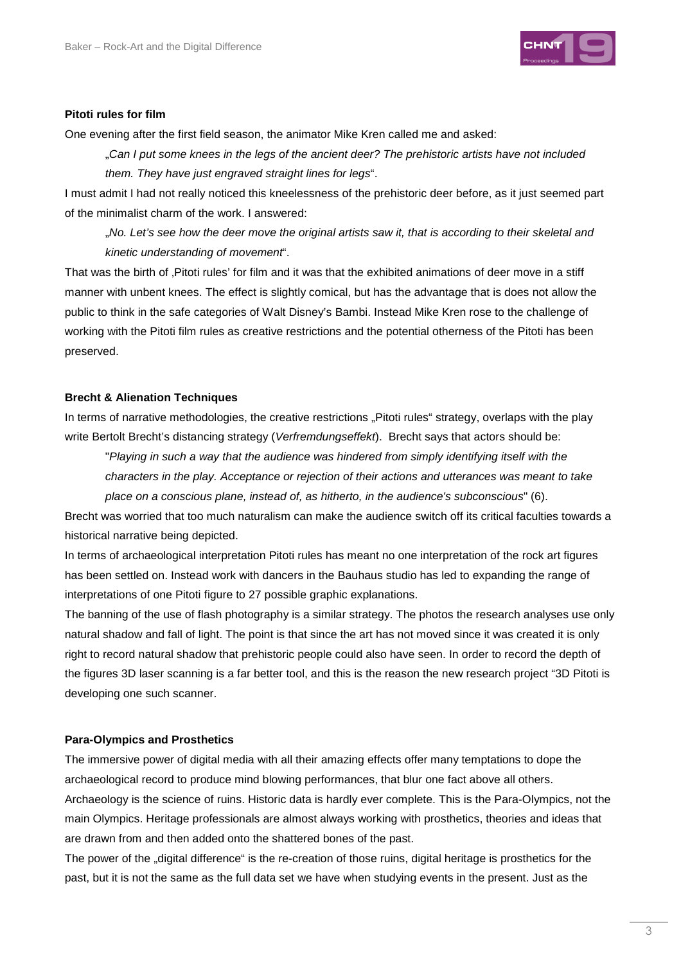

#### **Pitoti rules for film**

One evening after the first field season, the animator Mike Kren called me and asked:

"Can I put some knees in the legs of the ancient deer? The prehistoric artists have not included them. They have just engraved straight lines for legs".

I must admit I had not really noticed this kneelessness of the prehistoric deer before, as it just seemed part of the minimalist charm of the work. I answered:

"No. Let's see how the deer move the original artists saw it, that is according to their skeletal and kinetic understanding of movement".

That was the birth of 'Pitoti rules' for film and it was that the exhibited animations of deer move in a stiff manner with unbent knees. The effect is slightly comical, but has the advantage that is does not allow the public to think in the safe categories of Walt Disney's Bambi. Instead Mike Kren rose to the challenge of working with the Pitoti film rules as creative restrictions and the potential otherness of the Pitoti has been preserved.

### **Brecht & Alienation Techniques**

In terms of narrative methodologies, the creative restrictions "Pitoti rules" strategy, overlaps with the play write Bertolt Brecht's distancing strategy (Verfremdungseffekt). Brecht says that actors should be:

"Playing in such a way that the audience was hindered from simply identifying itself with the characters in the play. Acceptance or rejection of their actions and utterances was meant to take place on a conscious plane, instead of, as hitherto, in the audience's subconscious" (6).

Brecht was worried that too much naturalism can make the audience switch off its critical faculties towards a historical narrative being depicted.

In terms of archaeological interpretation Pitoti rules has meant no one interpretation of the rock art figures has been settled on. Instead work with dancers in the Bauhaus studio has led to expanding the range of interpretations of one Pitoti figure to 27 possible graphic explanations.

The banning of the use of flash photography is a similar strategy. The photos the research analyses use only natural shadow and fall of light. The point is that since the art has not moved since it was created it is only right to record natural shadow that prehistoric people could also have seen. In order to record the depth of the figures 3D laser scanning is a far better tool, and this is the reason the new research project "3D Pitoti is developing one such scanner.

#### **Para-Olympics and Prosthetics**

The immersive power of digital media with all their amazing effects offer many temptations to dope the archaeological record to produce mind blowing performances, that blur one fact above all others. Archaeology is the science of ruins. Historic data is hardly ever complete. This is the Para-Olympics, not the main Olympics. Heritage professionals are almost always working with prosthetics, theories and ideas that are drawn from and then added onto the shattered bones of the past.

The power of the "digital difference" is the re-creation of those ruins, digital heritage is prosthetics for the past, but it is not the same as the full data set we have when studying events in the present. Just as the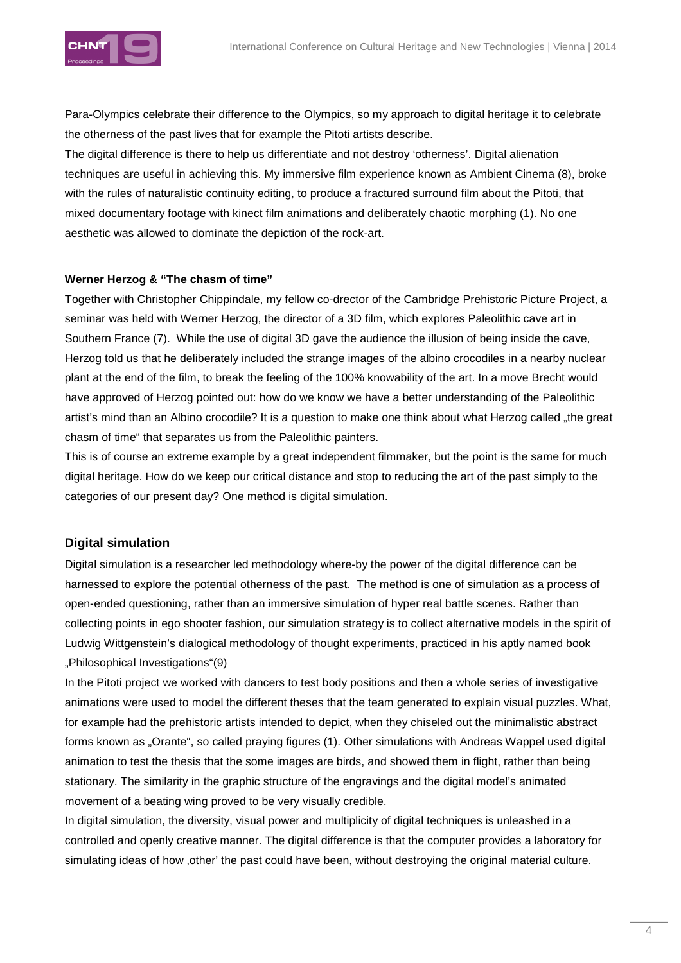

Para-Olympics celebrate their difference to the Olympics, so my approach to digital heritage it to celebrate the otherness of the past lives that for example the Pitoti artists describe.

The digital difference is there to help us differentiate and not destroy 'otherness'. Digital alienation techniques are useful in achieving this. My immersive film experience known as Ambient Cinema (8), broke with the rules of naturalistic continuity editing, to produce a fractured surround film about the Pitoti, that mixed documentary footage with kinect film animations and deliberately chaotic morphing (1). No one aesthetic was allowed to dominate the depiction of the rock-art.

# **Werner Herzog & "The chasm of time"**

Together with Christopher Chippindale, my fellow co-drector of the Cambridge Prehistoric Picture Project, a seminar was held with Werner Herzog, the director of a 3D film, which explores Paleolithic cave art in Southern France (7). While the use of digital 3D gave the audience the illusion of being inside the cave, Herzog told us that he deliberately included the strange images of the albino crocodiles in a nearby nuclear plant at the end of the film, to break the feeling of the 100% knowability of the art. In a move Brecht would have approved of Herzog pointed out: how do we know we have a better understanding of the Paleolithic artist's mind than an Albino crocodile? It is a question to make one think about what Herzog called "the great chasm of time" that separates us from the Paleolithic painters.

This is of course an extreme example by a great independent filmmaker, but the point is the same for much digital heritage. How do we keep our critical distance and stop to reducing the art of the past simply to the categories of our present day? One method is digital simulation.

# **Digital simulation**

Digital simulation is a researcher led methodology where-by the power of the digital difference can be harnessed to explore the potential otherness of the past. The method is one of simulation as a process of open-ended questioning, rather than an immersive simulation of hyper real battle scenes. Rather than collecting points in ego shooter fashion, our simulation strategy is to collect alternative models in the spirit of Ludwig Wittgenstein's dialogical methodology of thought experiments, practiced in his aptly named book "Philosophical Investigations"(9)

In the Pitoti project we worked with dancers to test body positions and then a whole series of investigative animations were used to model the different theses that the team generated to explain visual puzzles. What, for example had the prehistoric artists intended to depict, when they chiseled out the minimalistic abstract forms known as "Orante", so called praying figures (1). Other simulations with Andreas Wappel used digital animation to test the thesis that the some images are birds, and showed them in flight, rather than being stationary. The similarity in the graphic structure of the engravings and the digital model's animated movement of a beating wing proved to be very visually credible.

In digital simulation, the diversity, visual power and multiplicity of digital techniques is unleashed in a controlled and openly creative manner. The digital difference is that the computer provides a laboratory for simulating ideas of how other' the past could have been, without destroying the original material culture.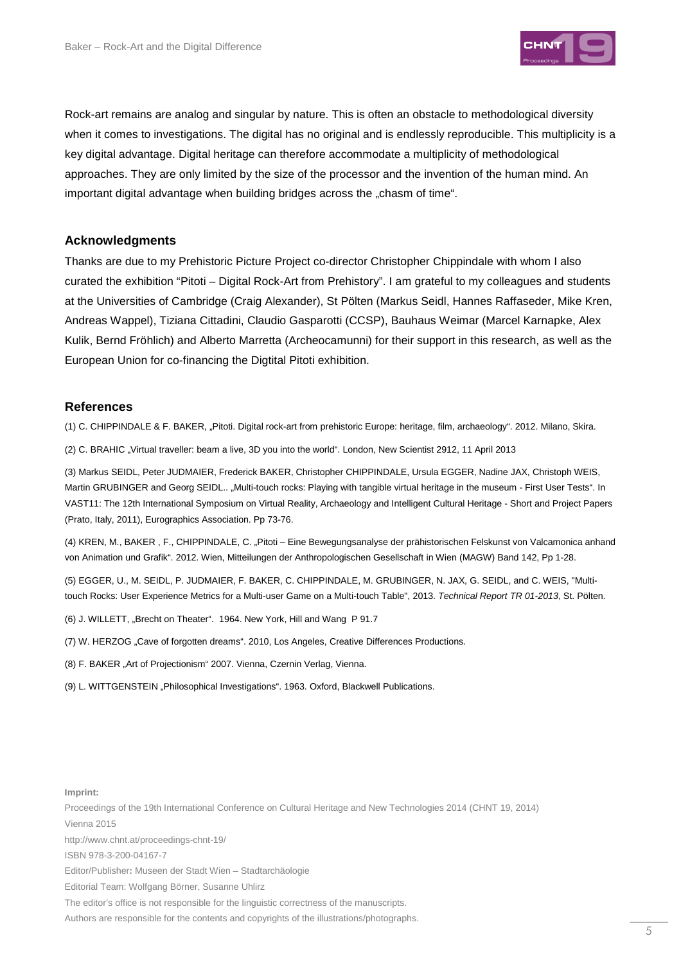

Rock-art remains are analog and singular by nature. This is often an obstacle to methodological diversity when it comes to investigations. The digital has no original and is endlessly reproducible. This multiplicity is a key digital advantage. Digital heritage can therefore accommodate a multiplicity of methodological approaches. They are only limited by the size of the processor and the invention of the human mind. An important digital advantage when building bridges across the "chasm of time".

#### **Acknowledgments**

Thanks are due to my Prehistoric Picture Project co-director Christopher Chippindale with whom I also curated the exhibition "Pitoti – Digital Rock-Art from Prehistory". I am grateful to my colleagues and students at the Universities of Cambridge (Craig Alexander), St Pölten (Markus Seidl, Hannes Raffaseder, Mike Kren, Andreas Wappel), Tiziana Cittadini, Claudio Gasparotti (CCSP), Bauhaus Weimar (Marcel Karnapke, Alex Kulik, Bernd Fröhlich) and Alberto Marretta (Archeocamunni) for their support in this research, as well as the European Union for co-financing the Digtital Pitoti exhibition.

#### **References**

(1) C. CHIPPINDALE & F. BAKER, "Pitoti. Digital rock-art from prehistoric Europe: heritage, film, archaeology". 2012. Milano, Skira.

(2) C. BRAHIC "Virtual traveller: beam a live, 3D you into the world". London, New Scientist 2912, 11 April 2013

(3) Markus SEIDL, Peter JUDMAIER, Frederick BAKER, Christopher CHIPPINDALE, Ursula EGGER, Nadine JAX, Christoph WEIS, Martin GRUBINGER and Georg SEIDL.. "Multi-touch rocks: Playing with tangible virtual heritage in the museum - First User Tests". In VAST11: The 12th International Symposium on Virtual Reality, Archaeology and Intelligent Cultural Heritage - Short and Project Papers (Prato, Italy, 2011), Eurographics Association. Pp 73-76.

(4) KREN, M., BAKER , F., CHIPPINDALE, C. "Pitoti – Eine Bewegungsanalyse der prähistorischen Felskunst von Valcamonica anhand von Animation und Grafik". 2012. Wien, Mitteilungen der Anthropologischen Gesellschaft in Wien (MAGW) Band 142, Pp 1-28.

(5) EGGER, U., M. SEIDL, P. JUDMAIER, F. BAKER, C. CHIPPINDALE, M. GRUBINGER, N. JAX, G. SEIDL, and C. WEIS, "Multitouch Rocks: User Experience Metrics for a Multi-user Game on a Multi-touch Table", 2013. Technical Report TR 01-2013, St. Pölten.

- (6) J. WILLETT, "Brecht on Theater". 1964. New York, Hill and Wang P 91.7
- (7) W. HERZOG "Cave of forgotten dreams". 2010, Los Angeles, Creative Differences Productions.
- (8) F. BAKER "Art of Projectionism" 2007. Vienna, Czernin Verlag, Vienna.

(9) L. WITTGENSTEIN "Philosophical Investigations". 1963. Oxford, Blackwell Publications.

#### **Imprint:**

Proceedings of the 19th International Conference on Cultural Heritage and New Technologies 2014 (CHNT 19, 2014) Vienna 2015

http://www.chnt.at/proceedings-chnt-19/

ISBN 978-3-200-04167-7

Editor/Publisher**:** Museen der Stadt Wien – Stadtarchäologie

Editorial Team: Wolfgang Börner, Susanne Uhlirz

The editor's office is not responsible for the linguistic correctness of the manuscripts.

Authors are responsible for the contents and copyrights of the illustrations/photographs.